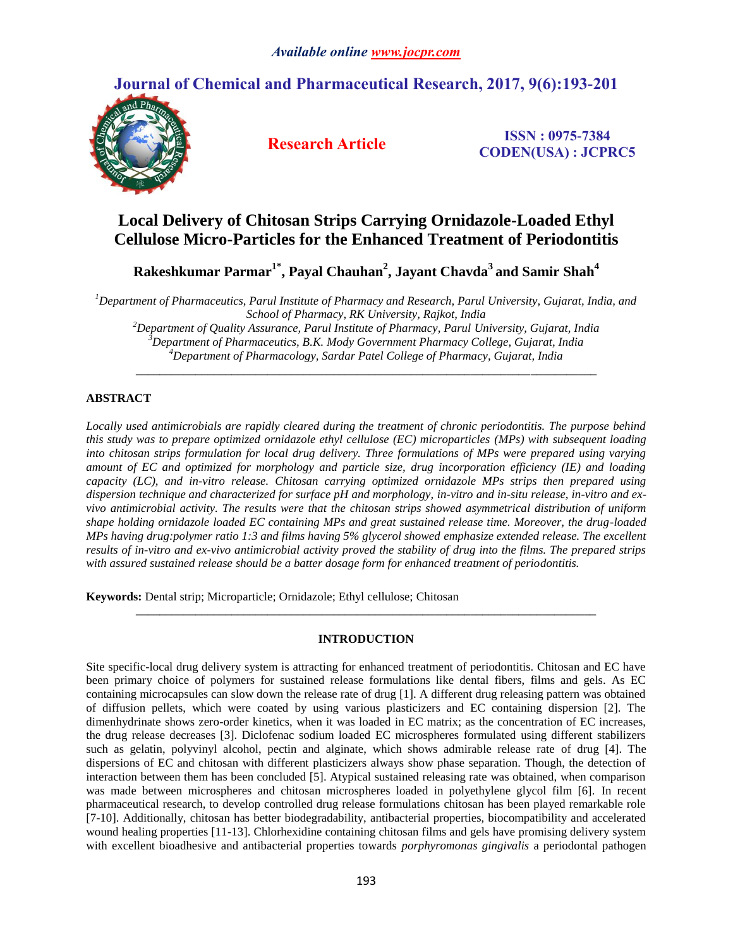# **Journal of Chemical and Pharmaceutical Research, 2017, 9(6):193-201**



**Research Article ISSN : 0975-7384 CODEN(USA) : JCPRC5**

# **Local Delivery of Chitosan Strips Carrying Ornidazole-Loaded Ethyl Cellulose Micro-Particles for the Enhanced Treatment of Periodontitis**

**Rakeshkumar Parmar1\* , Payal Chauhan<sup>2</sup> , Jayant Chavda<sup>3</sup> and Samir Shah<sup>4</sup>**

*<sup>1</sup>Department of Pharmaceutics, Parul Institute of Pharmacy and Research, Parul University, Gujarat, India, and School of Pharmacy, RK University, Rajkot, India*

*<sup>2</sup>Department of Quality Assurance, Parul Institute of Pharmacy, Parul University, Gujarat, India <sup>3</sup>Department of Pharmaceutics, B.K. Mody Government Pharmacy College, Gujarat, India <sup>4</sup>Department of Pharmacology, Sardar Patel College of Pharmacy, Gujarat, India*

*\_\_\_\_\_\_\_\_\_\_\_\_\_\_\_\_\_\_\_\_\_\_\_\_\_\_\_\_\_\_\_\_\_\_\_\_\_\_\_\_\_\_\_\_\_\_\_\_\_\_\_\_\_\_\_\_\_\_\_\_\_\_\_\_\_\_\_\_\_\_\_\_\_\_\_\_\_*

# **ABSTRACT**

*Locally used antimicrobials are rapidly cleared during the treatment of chronic periodontitis. The purpose behind this study was to prepare optimized ornidazole ethyl cellulose (EC) microparticles (MPs) with subsequent loading into chitosan strips formulation for local drug delivery. Three formulations of MPs were prepared using varying amount of EC and optimized for morphology and particle size, drug incorporation efficiency (IE) and loading capacity (LC), and in-vitro release. Chitosan carrying optimized ornidazole MPs strips then prepared using dispersion technique and characterized for surface pH and morphology, in-vitro and in-situ release, in-vitro and exvivo antimicrobial activity. The results were that the chitosan strips showed asymmetrical distribution of uniform shape holding ornidazole loaded EC containing MPs and great sustained release time. Moreover, the drug-loaded MPs having drug:polymer ratio 1:3 and films having 5% glycerol showed emphasize extended release. The excellent results of in-vitro and ex-vivo antimicrobial activity proved the stability of drug into the films. The prepared strips with assured sustained release should be a batter dosage form for enhanced treatment of periodontitis.*

**Keywords:** Dental strip; Microparticle; Ornidazole; Ethyl cellulose; Chitosan

# **INTRODUCTION**

*\_\_\_\_\_\_\_\_\_\_\_\_\_\_\_\_\_\_\_\_\_\_\_\_\_\_\_\_\_\_\_\_\_\_\_\_\_\_\_\_\_\_\_\_\_\_\_\_\_\_\_\_\_\_\_\_\_\_\_\_\_\_\_\_\_\_\_\_\_\_\_\_\_\_\_\_\_*

Site specific-local drug delivery system is attracting for enhanced treatment of periodontitis. Chitosan and EC have been primary choice of polymers for sustained release formulations like dental fibers, films and gels. As EC containing microcapsules can slow down the release rate of drug [1]. A different drug releasing pattern was obtained of diffusion pellets, which were coated by using various plasticizers and EC containing dispersion [2]. The dimenhydrinate shows zero-order kinetics, when it was loaded in EC matrix; as the concentration of EC increases, the drug release decreases [3]. Diclofenac sodium loaded EC microspheres formulated using different stabilizers such as gelatin, polyvinyl alcohol, pectin and alginate, which shows admirable release rate of drug [4]. The dispersions of EC and chitosan with different plasticizers always show phase separation. Though, the detection of interaction between them has been concluded [5]. Atypical sustained releasing rate was obtained, when comparison was made between microspheres and chitosan microspheres loaded in polyethylene glycol film [6]. In recent pharmaceutical research, to develop controlled drug release formulations chitosan has been played remarkable role [7-10]. Additionally, chitosan has better biodegradability, antibacterial properties, biocompatibility and accelerated wound healing properties [11-13]. Chlorhexidine containing chitosan films and gels have promising delivery system with excellent bioadhesive and antibacterial properties towards *porphyromonas gingivalis* a periodontal pathogen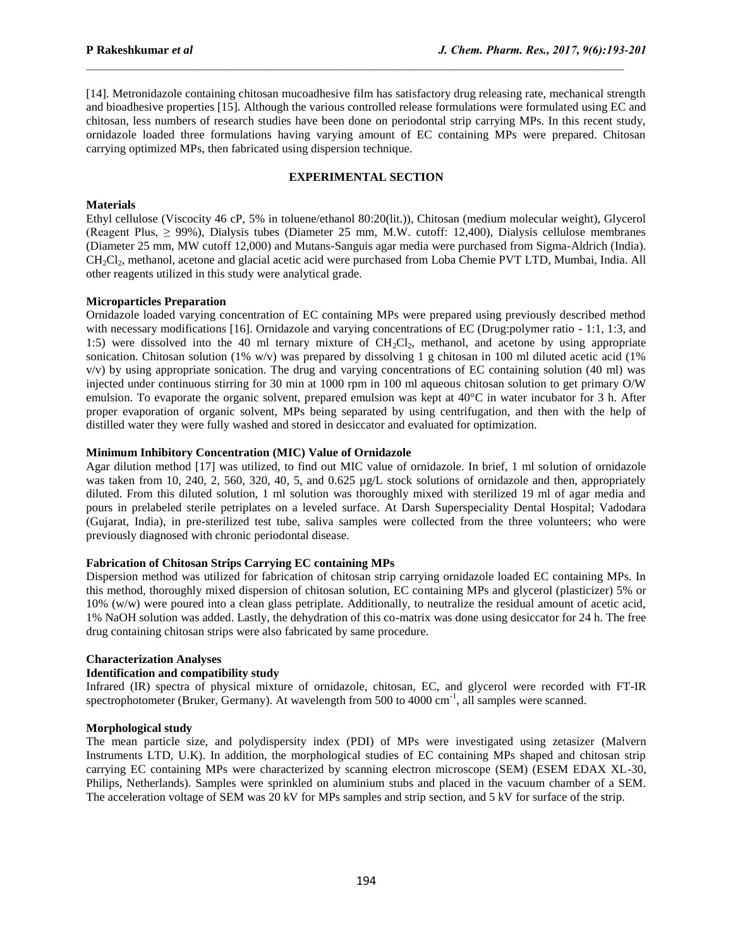[14]. Metronidazole containing chitosan mucoadhesive film has satisfactory drug releasing rate, mechanical strength and bioadhesive properties [15]. Although the various controlled release formulations were formulated using EC and chitosan, less numbers of research studies have been done on periodontal strip carrying MPs. In this recent study, ornidazole loaded three formulations having varying amount of EC containing MPs were prepared. Chitosan carrying optimized MPs, then fabricated using dispersion technique.

 $\mathcal{L}_\text{max}$ 

# **EXPERIMENTAL SECTION**

# **Materials**

Ethyl cellulose (Viscocity 46 cP, 5% in toluene/ethanol 80:20(lit.)), Chitosan (medium molecular weight), Glycerol (Reagent Plus, ≥ 99%), Dialysis tubes (Diameter 25 mm, M.W. cutoff: 12,400), Dialysis cellulose membranes (Diameter 25 mm, MW cutoff 12,000) and Mutans-Sanguis agar media were purchased from Sigma-Aldrich (India). CH2Cl2, methanol, acetone and glacial acetic acid were purchased from Loba Chemie PVT LTD, Mumbai, India. All other reagents utilized in this study were analytical grade.

# **Microparticles Preparation**

Ornidazole loaded varying concentration of EC containing MPs were prepared using previously described method with necessary modifications [16]. Ornidazole and varying concentrations of EC (Drug:polymer ratio - 1:1, 1:3, and 1:5) were dissolved into the 40 ml ternary mixture of  $CH_2Cl_2$ , methanol, and acetone by using appropriate sonication. Chitosan solution (1% w/v) was prepared by dissolving 1 g chitosan in 100 ml diluted acetic acid (1% v/v) by using appropriate sonication. The drug and varying concentrations of EC containing solution (40 ml) was injected under continuous stirring for 30 min at 1000 rpm in 100 ml aqueous chitosan solution to get primary O/W emulsion. To evaporate the organic solvent, prepared emulsion was kept at  $40^{\circ}$ C in water incubator for 3 h. After proper evaporation of organic solvent, MPs being separated by using centrifugation, and then with the help of distilled water they were fully washed and stored in desiccator and evaluated for optimization.

# **Minimum Inhibitory Concentration (MIC) Value of Ornidazole**

Agar dilution method [17] was utilized, to find out MIC value of ornidazole. In brief, 1 ml solution of ornidazole was taken from 10, 240, 2, 560, 320, 40, 5, and 0.625 µg/L stock solutions of ornidazole and then, appropriately diluted. From this diluted solution, 1 ml solution was thoroughly mixed with sterilized 19 ml of agar media and pours in prelabeled sterile petriplates on a leveled surface. At Darsh Superspeciality Dental Hospital; Vadodara (Gujarat, India), in pre-sterilized test tube, saliva samples were collected from the three volunteers; who were previously diagnosed with chronic periodontal disease.

# **Fabrication of Chitosan Strips Carrying EC containing MPs**

Dispersion method was utilized for fabrication of chitosan strip carrying ornidazole loaded EC containing MPs. In this method, thoroughly mixed dispersion of chitosan solution, EC containing MPs and glycerol (plasticizer) 5% or 10% (w/w) were poured into a clean glass petriplate. Additionally, to neutralize the residual amount of acetic acid, 1% NaOH solution was added. Lastly, the dehydration of this co-matrix was done using desiccator for 24 h. The free drug containing chitosan strips were also fabricated by same procedure.

## **Characterization Analyses**

# **Identification and compatibility study**

Infrared (IR) spectra of physical mixture of ornidazole, chitosan, EC, and glycerol were recorded with FT-IR spectrophotometer (Bruker, Germany). At wavelength from 500 to 4000 cm<sup>-1</sup>, all samples were scanned.

## **Morphological study**

The mean particle size, and polydispersity index (PDI) of MPs were investigated using zetasizer (Malvern Instruments LTD, U.K). In addition, the morphological studies of EC containing MPs shaped and chitosan strip carrying EC containing MPs were characterized by scanning electron microscope (SEM) (ESEM EDAX XL-30, Philips, Netherlands). Samples were sprinkled on aluminium stubs and placed in the vacuum chamber of a SEM. The acceleration voltage of SEM was 20 kV for MPs samples and strip section, and 5 kV for surface of the strip.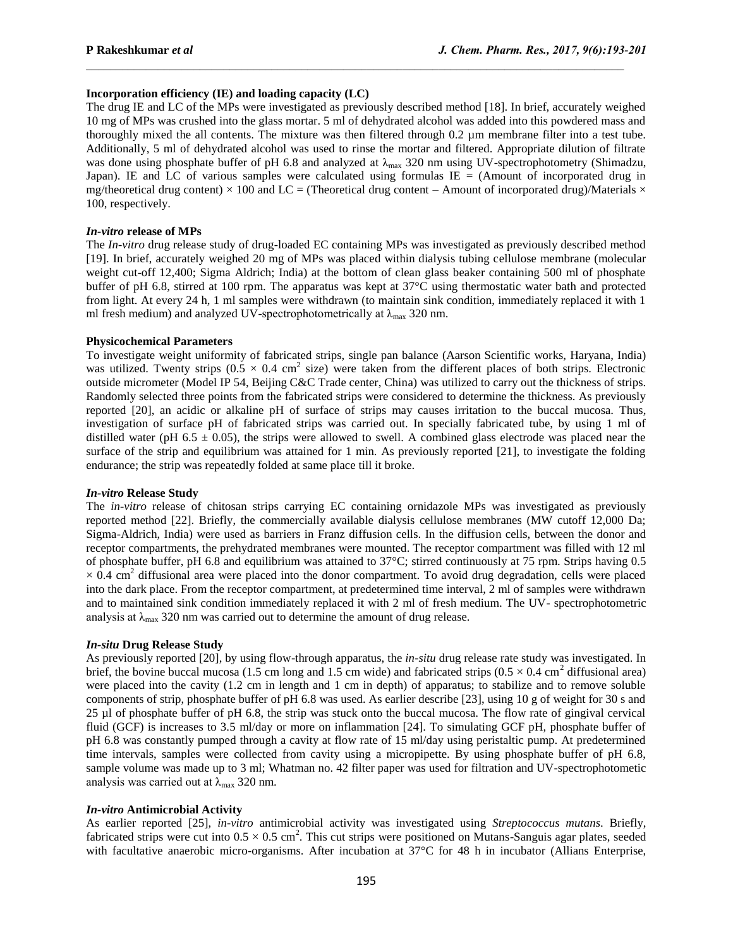# **Incorporation efficiency (IE) and loading capacity (LC)**

The drug IE and LC of the MPs were investigated as previously described method [18]. In brief, accurately weighed 10 mg of MPs was crushed into the glass mortar. 5 ml of dehydrated alcohol was added into this powdered mass and thoroughly mixed the all contents. The mixture was then filtered through 0.2 µm membrane filter into a test tube. Additionally, 5 ml of dehydrated alcohol was used to rinse the mortar and filtered. Appropriate dilution of filtrate was done using phosphate buffer of pH 6.8 and analyzed at  $\lambda_{\text{max}}$  320 nm using UV-spectrophotometry (Shimadzu, Japan). IE and LC of various samples were calculated using formulas  $IE = (Amount of incorporated drug in$ mg/theoretical drug content)  $\times$  100 and LC = (Theoretical drug content – Amount of incorporated drug)/Materials  $\times$ 100, respectively.

 $\mathcal{L}_\text{max}$ 

## *In-vitro* **release of MPs**

The *In-vitro* drug release study of drug-loaded EC containing MPs was investigated as previously described method [19]. In brief, accurately weighed 20 mg of MPs was placed within dialysis tubing cellulose membrane (molecular weight cut-off 12,400; Sigma Aldrich; India) at the bottom of clean glass beaker containing 500 ml of phosphate buffer of pH 6.8, stirred at 100 rpm. The apparatus was kept at 37°C using thermostatic water bath and protected from light. At every 24 h, 1 ml samples were withdrawn (to maintain sink condition, immediately replaced it with 1 ml fresh medium) and analyzed UV-spectrophotometrically at  $\lambda_{\text{max}}$  320 nm.

## **Physicochemical Parameters**

To investigate weight uniformity of fabricated strips, single pan balance (Aarson Scientific works, Haryana, India) was utilized. Twenty strips  $(0.5 \times 0.4 \text{ cm}^2 \text{ size})$  were taken from the different places of both strips. Electronic outside micrometer (Model IP 54, Beijing C&C Trade center, China) was utilized to carry out the thickness of strips. Randomly selected three points from the fabricated strips were considered to determine the thickness. As previously reported [20], an acidic or alkaline pH of surface of strips may causes irritation to the buccal mucosa. Thus, investigation of surface pH of fabricated strips was carried out. In specially fabricated tube, by using 1 ml of distilled water (pH 6.5  $\pm$  0.05), the strips were allowed to swell. A combined glass electrode was placed near the surface of the strip and equilibrium was attained for 1 min. As previously reported [21], to investigate the folding endurance; the strip was repeatedly folded at same place till it broke.

## *In-vitro* **Release Study**

The *in-vitro* release of chitosan strips carrying EC containing ornidazole MPs was investigated as previously reported method [22]. Briefly, the commercially available dialysis cellulose membranes (MW cutoff 12,000 Da; Sigma-Aldrich, India) were used as barriers in Franz diffusion cells. In the diffusion cells, between the donor and receptor compartments, the prehydrated membranes were mounted. The receptor compartment was filled with 12 ml of phosphate buffer, pH 6.8 and equilibrium was attained to 37°C; stirred continuously at 75 rpm. Strips having 0.5  $\times$  0.4 cm<sup>2</sup> diffusional area were placed into the donor compartment. To avoid drug degradation, cells were placed into the dark place. From the receptor compartment, at predetermined time interval, 2 ml of samples were withdrawn and to maintained sink condition immediately replaced it with 2 ml of fresh medium. The UV- spectrophotometric analysis at  $\lambda_{\text{max}}$  320 nm was carried out to determine the amount of drug release.

## *In-situ* **Drug Release Study**

As previously reported [20], by using flow-through apparatus, the *in-situ* drug release rate study was investigated. In brief, the bovine buccal mucosa (1.5 cm long and 1.5 cm wide) and fabricated strips ( $0.5 \times 0.4$  cm<sup>2</sup> diffusional area) were placed into the cavity (1.2 cm in length and 1 cm in depth) of apparatus; to stabilize and to remove soluble components of strip, phosphate buffer of pH 6.8 was used. As earlier describe [23], using 10 g of weight for 30 s and 25 µl of phosphate buffer of pH 6.8, the strip was stuck onto the buccal mucosa. The flow rate of gingival cervical fluid (GCF) is increases to 3.5 ml/day or more on inflammation [24]. To simulating GCF pH, phosphate buffer of pH 6.8 was constantly pumped through a cavity at flow rate of 15 ml/day using peristaltic pump. At predetermined time intervals, samples were collected from cavity using a micropipette. By using phosphate buffer of pH 6.8, sample volume was made up to 3 ml; Whatman no. 42 filter paper was used for filtration and UV-spectrophotometic analysis was carried out at  $\lambda_{\text{max}}$  320 nm.

# *In-vitro* **Antimicrobial Activity**

As earlier reported [25], *in-vitro* antimicrobial activity was investigated using *Streptococcus mutans*. Briefly, fabricated strips were cut into  $0.5 \times 0.5$  cm<sup>2</sup>. This cut strips were positioned on Mutans-Sanguis agar plates, seeded with facultative anaerobic micro-organisms. After incubation at 37°C for 48 h in incubator (Allians Enterprise,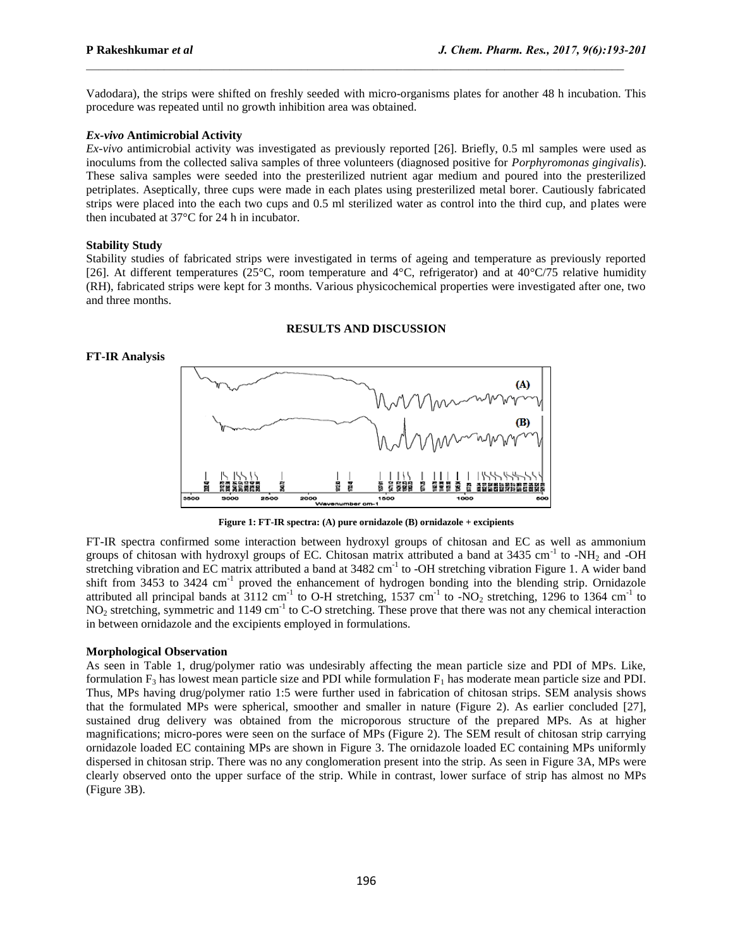Vadodara), the strips were shifted on freshly seeded with micro-organisms plates for another 48 h incubation. This procedure was repeated until no growth inhibition area was obtained.

 $\mathcal{L}_\text{max}$ 

#### *Ex-vivo* **Antimicrobial Activity**

*Ex-vivo* antimicrobial activity was investigated as previously reported [26]. Briefly, 0.5 ml samples were used as inoculums from the collected saliva samples of three volunteers (diagnosed positive for *Porphyromonas gingivalis*). These saliva samples were seeded into the presterilized nutrient agar medium and poured into the presterilized petriplates. Aseptically, three cups were made in each plates using presterilized metal borer. Cautiously fabricated strips were placed into the each two cups and 0.5 ml sterilized water as control into the third cup, and plates were then incubated at 37°C for 24 h in incubator.

## **Stability Study**

Stability studies of fabricated strips were investigated in terms of ageing and temperature as previously reported [26]. At different temperatures (25°C, room temperature and 4°C, refrigerator) and at 40°C/75 relative humidity (RH), fabricated strips were kept for 3 months. Various physicochemical properties were investigated after one, two and three months.

## **RESULTS AND DISCUSSION**

#### **FT-IR Analysis**



**Figure 1: FT-IR spectra: (A) pure ornidazole (B) ornidazole + excipients**

FT-IR spectra confirmed some interaction between hydroxyl groups of chitosan and EC as well as ammonium groups of chitosan with hydroxyl groups of EC. Chitosan matrix attributed a band at 3435 cm<sup>-1</sup> to -NH<sub>2</sub> and -OH stretching vibration and EC matrix attributed a band at 3482 cm<sup>-1</sup> to -OH stretching vibration Figure 1. A wider band shift from 3453 to 3424 cm<sup>-1</sup> proved the enhancement of hydrogen bonding into the blending strip. Ornidazole attributed all principal bands at 3112 cm<sup>-1</sup> to O-H stretching, 1537 cm<sup>-1</sup> to -NO<sub>2</sub> stretching, 1296 to 1364 cm<sup>-1</sup> to  $NO<sub>2</sub>$  stretching, symmetric and 1149 cm<sup>-1</sup> to C-O stretching. These prove that there was not any chemical interaction in between ornidazole and the excipients employed in formulations.

### **Morphological Observation**

As seen in Table 1, drug/polymer ratio was undesirably affecting the mean particle size and PDI of MPs. Like, formulation  $F_3$  has lowest mean particle size and PDI while formulation  $F_1$  has moderate mean particle size and PDI. Thus, MPs having drug/polymer ratio 1:5 were further used in fabrication of chitosan strips. SEM analysis shows that the formulated MPs were spherical, smoother and smaller in nature (Figure 2). As earlier concluded [27], sustained drug delivery was obtained from the microporous structure of the prepared MPs. As at higher magnifications; micro-pores were seen on the surface of MPs (Figure 2). The SEM result of chitosan strip carrying ornidazole loaded EC containing MPs are shown in Figure 3. The ornidazole loaded EC containing MPs uniformly dispersed in chitosan strip. There was no any conglomeration present into the strip. As seen in Figure 3A, MPs were clearly observed onto the upper surface of the strip. While in contrast, lower surface of strip has almost no MPs (Figure 3B).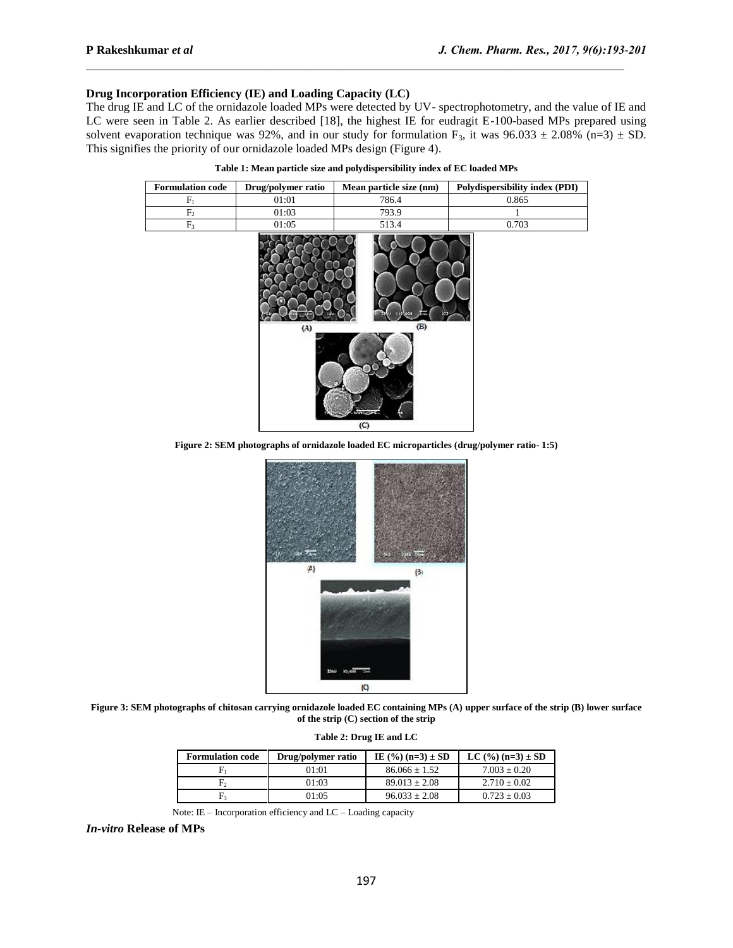# **Drug Incorporation Efficiency (IE) and Loading Capacity (LC)**

The drug IE and LC of the ornidazole loaded MPs were detected by UV- spectrophotometry, and the value of IE and LC were seen in Table 2. As earlier described [18], the highest IE for eudragit E-100-based MPs prepared using solvent evaporation technique was 92%, and in our study for formulation F<sub>3</sub>, it was 96.033  $\pm$  2.08% (n=3)  $\pm$  SD. This signifies the priority of our ornidazole loaded MPs design (Figure 4).

 $\mathcal{L}_\text{max}$ 

| <b>Formulation code</b> | Drug/polymer ratio | Mean particle size (nm) | Polydispersibility index (PDI) |
|-------------------------|--------------------|-------------------------|--------------------------------|
| $F_1$                   | 01:01              | 786.4                   | 0.865                          |
| $\rm F_2$               | 01:03              | 793.9                   |                                |
| $\rm{F}_3$              | 01:05              | 513.4                   | 0.703                          |
|                         | (A)                | (B)<br>(C)              |                                |

**Figure 2: SEM photographs of ornidazole loaded EC microparticles (drug/polymer ratio- 1:5)**



**Figure 3: SEM photographs of chitosan carrying ornidazole loaded EC containing MPs (A) upper surface of the strip (B) lower surface of the strip (C) section of the strip**

| Table 2: Drug IE and LC |  |  |  |  |
|-------------------------|--|--|--|--|
|-------------------------|--|--|--|--|

| <b>Formulation code</b> | Drug/polymer ratio | IE $(\frac{9}{6})$ (n=3) $\pm$ SD | LC $(\frac{9}{6})$ (n=3) ± SD |
|-------------------------|--------------------|-----------------------------------|-------------------------------|
| ۳                       | 01:01              | $86.066 + 1.52$                   | $7.003 + 0.20$                |
| F,                      | 01:03              | $89.013 + 2.08$                   | $2.710 + 0.02$                |
| F,                      | 01:05              | $96.033 + 2.08$                   | $0.723 + 0.03$                |

Note: IE – Incorporation efficiency and LC – Loading capacity

*In-vitro* **Release of MPs**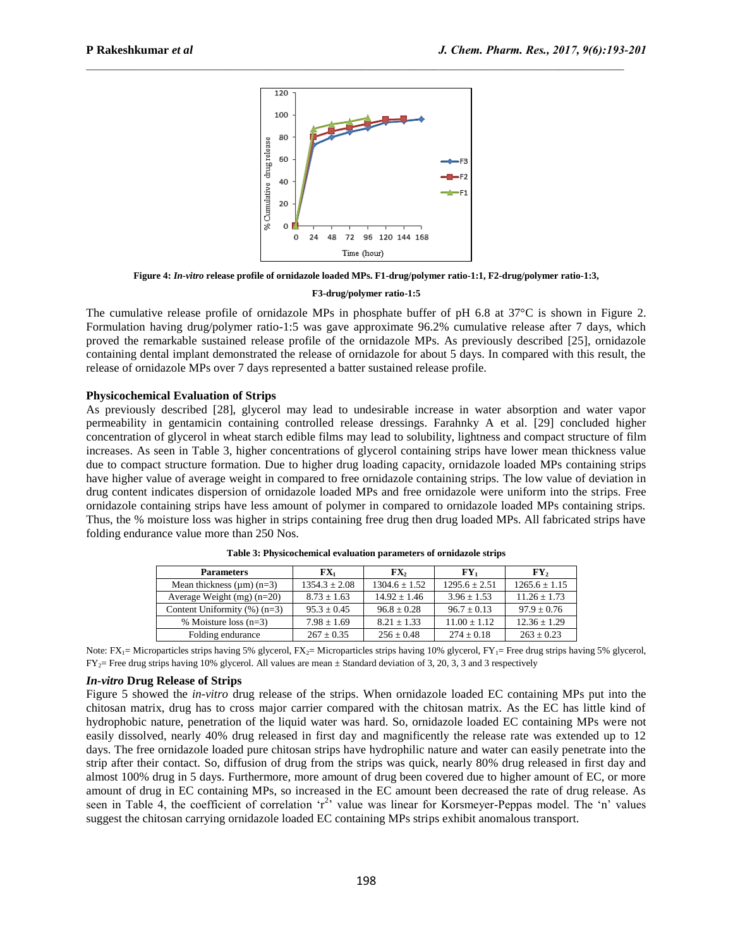

 $\mathcal{L}_\text{max}$ 

**Figure 4:** *In-vitro* **release profile of ornidazole loaded MPs. F1-drug/polymer ratio-1:1, F2-drug/polymer ratio-1:3,** 

#### **F3-drug/polymer ratio-1:5**

The cumulative release profile of ornidazole MPs in phosphate buffer of pH 6.8 at 37°C is shown in Figure 2. Formulation having drug/polymer ratio-1:5 was gave approximate 96.2% cumulative release after 7 days, which proved the remarkable sustained release profile of the ornidazole MPs. As previously described [25], ornidazole containing dental implant demonstrated the release of ornidazole for about 5 days. In compared with this result, the release of ornidazole MPs over 7 days represented a batter sustained release profile.

#### **Physicochemical Evaluation of Strips**

As previously described [28], glycerol may lead to undesirable increase in water absorption and water vapor permeability in gentamicin containing controlled release dressings. Farahnky A et al. [29] concluded higher concentration of glycerol in wheat starch edible films may lead to solubility, lightness and compact structure of film increases. As seen in Table 3, higher concentrations of glycerol containing strips have lower mean thickness value due to compact structure formation. Due to higher drug loading capacity, ornidazole loaded MPs containing strips have higher value of average weight in compared to free ornidazole containing strips. The low value of deviation in drug content indicates dispersion of ornidazole loaded MPs and free ornidazole were uniform into the strips. Free ornidazole containing strips have less amount of polymer in compared to ornidazole loaded MPs containing strips. Thus, the % moisture loss was higher in strips containing free drug then drug loaded MPs. All fabricated strips have folding endurance value more than 250 Nos.

| <b>Parameters</b>               | $\mathbf{FX}_1$   | $\mathbf{FX}_2$   | $\mathbf{F}\mathbf{Y}_1$ | $\mathbf{F}\mathbf{Y}$ |
|---------------------------------|-------------------|-------------------|--------------------------|------------------------|
| Mean thickness $(\mu m)(n=3)$   | $1354.3 \pm 2.08$ | $1304.6 \pm 1.52$ | $1295.6 \pm 2.51$        | $1265.6 \pm 1.15$      |
| Average Weight $(mg)(n=20)$     | $8.73 + 1.63$     | $14.92 + 1.46$    | $3.96 + 1.53$            | $11.26 + 1.73$         |
| Content Uniformity $(\%)$ (n=3) | $95.3 + 0.45$     | $96.8 \pm 0.28$   | $96.7 + 0.13$            | $97.9 + 0.76$          |
| % Moisture loss $(n=3)$         | $7.98 \pm 1.69$   | $8.21 \pm 1.33$   | $11.00 \pm 1.12$         | $12.36 \pm 1.29$       |
| Folding endurance               | $267 \pm 0.35$    | $256 \pm 0.48$    | $274 \pm 0.18$           | $263 \pm 0.23$         |

**Table 3: Physicochemical evaluation parameters of ornidazole strips**

Note:  $FX_1 =$  Microparticles strips having 5% glycerol,  $FX_2 =$  Microparticles strips having 10% glycerol,  $FY_1 =$  Free drug strips having 5% glycerol,  $FY_2$ = Free drug strips having 10% glycerol. All values are mean  $\pm$  Standard deviation of 3, 20, 3, 3 and 3 respectively

## *In-vitro* **Drug Release of Strips**

Figure 5 showed the *in-vitro* drug release of the strips. When ornidazole loaded EC containing MPs put into the chitosan matrix, drug has to cross major carrier compared with the chitosan matrix. As the EC has little kind of hydrophobic nature, penetration of the liquid water was hard. So, ornidazole loaded EC containing MPs were not easily dissolved, nearly 40% drug released in first day and magnificently the release rate was extended up to 12 days. The free ornidazole loaded pure chitosan strips have hydrophilic nature and water can easily penetrate into the strip after their contact. So, diffusion of drug from the strips was quick, nearly 80% drug released in first day and almost 100% drug in 5 days. Furthermore, more amount of drug been covered due to higher amount of EC, or more amount of drug in EC containing MPs, so increased in the EC amount been decreased the rate of drug release. As seen in Table 4, the coefficient of correlation  $r^2$  value was linear for Korsmeyer-Peppas model. The 'n' values suggest the chitosan carrying ornidazole loaded EC containing MPs strips exhibit anomalous transport.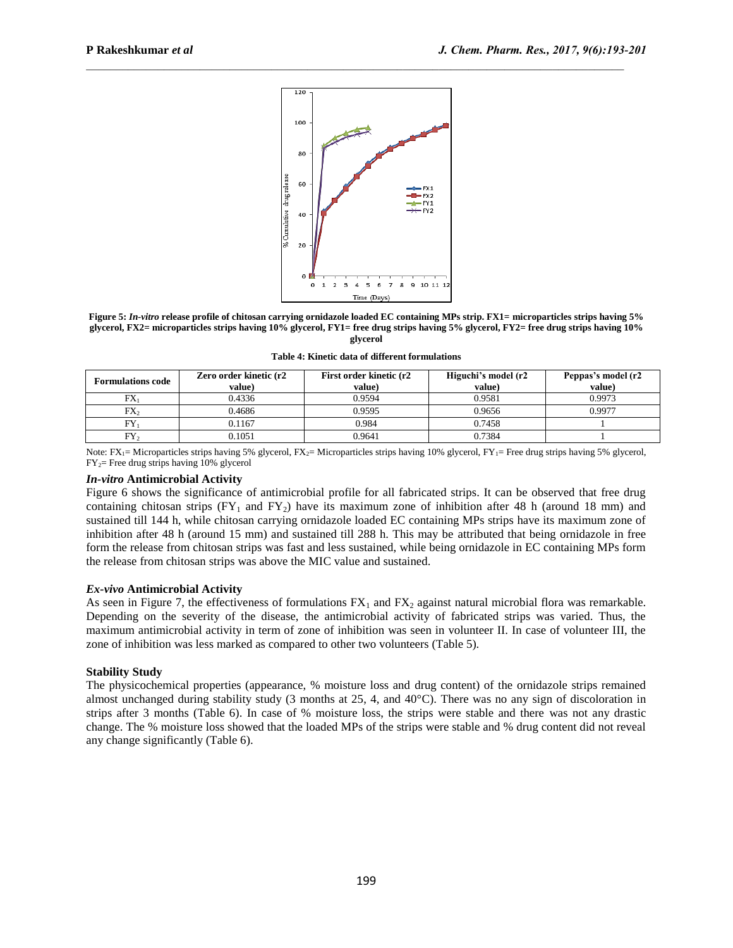

 $\mathcal{L}_\text{max}$ 

**Figure 5:** *In-vitro* **release profile of chitosan carrying ornidazole loaded EC containing MPs strip. FX1= microparticles strips having 5% glycerol, FX2= microparticles strips having 10% glycerol, FY1= free drug strips having 5% glycerol, FY2= free drug strips having 10% glycerol**

**Table 4: Kinetic data of different formulations**

| <b>Formulations code</b> | Zero order kinetic (r2<br>value) | First order kinetic (r2<br>value) | Higuchi's model (r2<br>value) | Peppas's model (r2<br>value) |
|--------------------------|----------------------------------|-----------------------------------|-------------------------------|------------------------------|
| $FX_1$                   | 0.4336                           | 0.9594                            | 0.9581                        | 0.9973                       |
| FX,                      | 0.4686                           | 0.9595                            | 0.9656                        | 0.9977                       |
| чY,                      | 0.1167                           | 0.984                             | 0.7458                        |                              |
| $FY_2$                   | 0.1051                           | 0.9641                            | 0.7384                        |                              |

Note:  $FX_1 =$  Microparticles strips having 5% glycerol,  $FX_2 =$  Microparticles strips having 10% glycerol,  $FY_1 =$  Free drug strips having 5% glycerol,  $FY_2$ = Free drug strips having 10% glycerol

# *In-vitro* **Antimicrobial Activity**

Figure 6 shows the significance of antimicrobial profile for all fabricated strips. It can be observed that free drug containing chitosan strips  $(FY_1$  and  $FY_2)$  have its maximum zone of inhibition after 48 h (around 18 mm) and sustained till 144 h, while chitosan carrying ornidazole loaded EC containing MPs strips have its maximum zone of inhibition after 48 h (around 15 mm) and sustained till 288 h. This may be attributed that being ornidazole in free form the release from chitosan strips was fast and less sustained, while being ornidazole in EC containing MPs form the release from chitosan strips was above the MIC value and sustained.

## *Ex-vivo* **Antimicrobial Activity**

As seen in Figure 7, the effectiveness of formulations  $FX_1$  and  $FX_2$  against natural microbial flora was remarkable. Depending on the severity of the disease, the antimicrobial activity of fabricated strips was varied. Thus, the maximum antimicrobial activity in term of zone of inhibition was seen in volunteer II. In case of volunteer III, the zone of inhibition was less marked as compared to other two volunteers (Table 5).

## **Stability Study**

The physicochemical properties (appearance, % moisture loss and drug content) of the ornidazole strips remained almost unchanged during stability study (3 months at 25, 4, and 40°C). There was no any sign of discoloration in strips after 3 months (Table 6). In case of % moisture loss, the strips were stable and there was not any drastic change. The % moisture loss showed that the loaded MPs of the strips were stable and % drug content did not reveal any change significantly (Table 6).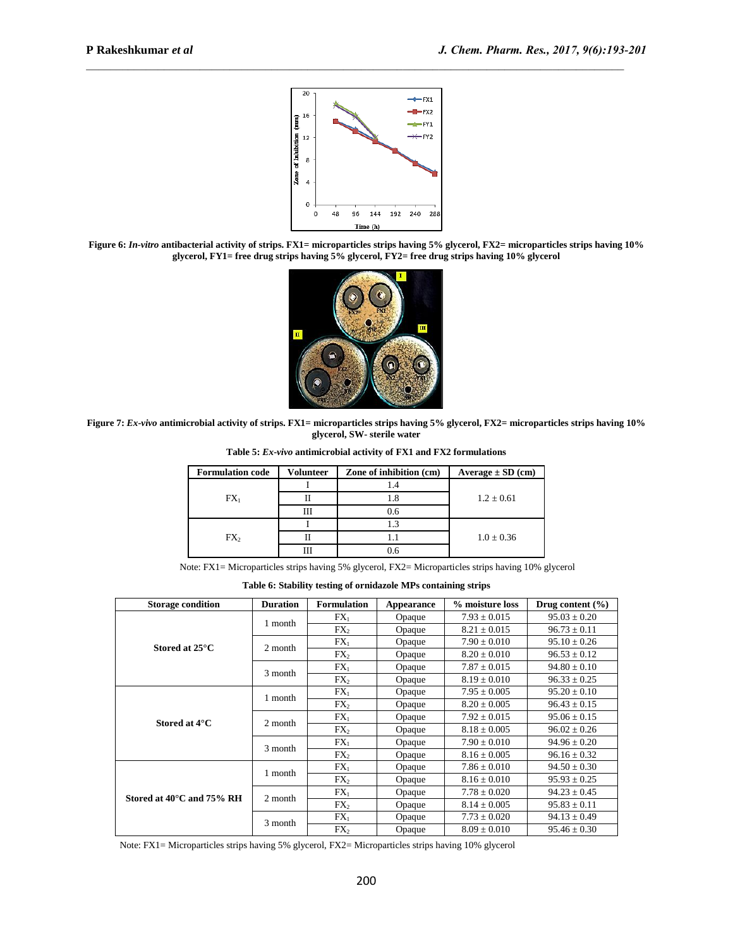

 $\mathcal{L}_\text{max}$ 

**Figure 6:** *In-vitro* **antibacterial activity of strips. FX1= microparticles strips having 5% glycerol, FX2= microparticles strips having 10% glycerol, FY1= free drug strips having 5% glycerol, FY2= free drug strips having 10% glycerol**



**Figure 7:** *Ex-vivo* **antimicrobial activity of strips. FX1= microparticles strips having 5% glycerol, FX2= microparticles strips having 10% glycerol, SW- sterile water**

| <b>Formulation code</b> | Volunteer | Zone of inhibition (cm) | $Average \pm SD$ (cm) |  |
|-------------------------|-----------|-------------------------|-----------------------|--|
|                         |           |                         |                       |  |
| $FX_1$                  |           | L.8                     | $1.2 \pm 0.61$        |  |
|                         | Ш         | 0.6                     |                       |  |
|                         |           | 1.3                     |                       |  |
| FX <sub>2</sub>         |           |                         | $1.0 \pm 0.36$        |  |
|                         |           | 0.6                     |                       |  |

**Table 5:** *Ex-vivo* **antimicrobial activity of FX1 and FX2 formulations**

Note: FX1= Microparticles strips having 5% glycerol, FX2= Microparticles strips having 10% glycerol

**Table 6: Stability testing of ornidazole MPs containing strips**

| <b>Storage condition</b>               | <b>Duration</b> | <b>Formulation</b> | Appearance | % moisture loss  | Drug content $(\% )$ |
|----------------------------------------|-----------------|--------------------|------------|------------------|----------------------|
|                                        | 1 month         | $FX_1$             | Opaque     | $7.93 \pm 0.015$ | $95.03 \pm 0.20$     |
|                                        |                 | FX <sub>2</sub>    | Opaque     | $8.21 \pm 0.015$ | $96.73 \pm 0.11$     |
| Stored at $25^{\circ}$ C               | 2 month         | $FX_1$             | Opaque     | $7.90 \pm 0.010$ | $95.10 \pm 0.26$     |
|                                        |                 | FX <sub>2</sub>    | Opaque     | $8.20 \pm 0.010$ | $96.53 \pm 0.12$     |
|                                        | 3 month         | $FX_1$             | Opaque     | $7.87 \pm 0.015$ | $94.80 \pm 0.10$     |
|                                        |                 | FX <sub>2</sub>    | Opaque     | $8.19 \pm 0.010$ | $96.33 \pm 0.25$     |
|                                        | 1 month         | $FX_1$             | Opaque     | $7.95 \pm 0.005$ | $95.20 \pm 0.10$     |
|                                        |                 | FX <sub>2</sub>    | Opaque     | $8.20 + 0.005$   | $96.43 \pm 0.15$     |
| Stored at 4°C                          | 2 month         | $FX_1$             | Opaque     | $7.92 \pm 0.015$ | $95.06 \pm 0.15$     |
|                                        |                 | FX <sub>2</sub>    | Opaque     | $8.18 \pm 0.005$ | $96.02 \pm 0.26$     |
|                                        | 3 month         | $FX_1$             | Opaque     | $7.90 \pm 0.010$ | $94.96 \pm 0.20$     |
|                                        |                 | FX <sub>2</sub>    | Opaque     | $8.16 \pm 0.005$ | $96.16 \pm 0.32$     |
|                                        | 1 month         | $FX_1$             | Opaque     | $7.86 \pm 0.010$ | $94.50 \pm 0.30$     |
|                                        |                 | FX <sub>2</sub>    | Opaque     | $8.16 \pm 0.010$ | $95.93 \pm 0.25$     |
| Stored at $40^{\circ}$ C and $75\%$ RH | 2 month         | $FX_1$             | Opaque     | $7.78 \pm 0.020$ | $94.23 \pm 0.45$     |
|                                        |                 | $FX_2$             | Opaque     | $8.14 \pm 0.005$ | $95.83 \pm 0.11$     |
|                                        | 3 month         | $FX_1$             | Opaque     | $7.73 \pm 0.020$ | $94.13 \pm 0.49$     |
|                                        |                 | FX <sub>2</sub>    | Opaque     | $8.09 \pm 0.010$ | $95.46 \pm 0.30$     |

Note: FX1= Microparticles strips having 5% glycerol, FX2= Microparticles strips having 10% glycerol